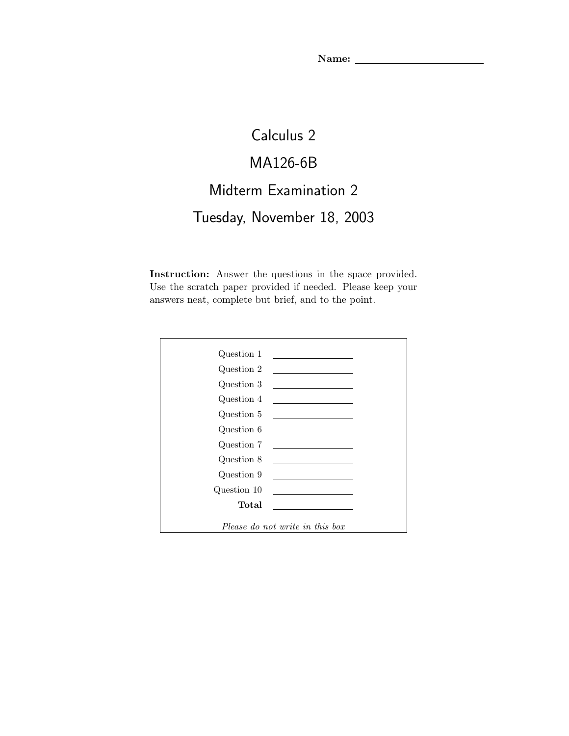Name: \_\_

## Calculus 2 MA126-6B Midterm Examination 2 Tuesday, November 18, 2003

Instruction: Answer the questions in the space provided. Use the scratch paper provided if needed. Please keep your answers neat, complete but brief, and to the point.

| Question 1                      |                                                                                                                       |
|---------------------------------|-----------------------------------------------------------------------------------------------------------------------|
| Question 2                      | the control of the control of the control of the control of                                                           |
| Question 3                      |                                                                                                                       |
| Question 4                      | the control of the control of the control of                                                                          |
| Question 5                      | <u> 1989 - Johann Barn, amerikansk politiker (</u>                                                                    |
| Question 6                      | the control of the control of the control of                                                                          |
| Question 7                      | <u> 1989 - Johann Barbara, martxa al III-lea (h. 1989).</u>                                                           |
| Question 8                      | <u> 1989 - John Harry Harry Harry Harry Harry Harry Harry Harry Harry Harry Harry Harry Harry Harry Harry Harry H</u> |
| Question 9                      | <u> 1989 - Andrea Station Barbara (h. 1989)</u>                                                                       |
| Question 10                     | <u> 1989 - John Stone, Amerikaansk politiker (</u>                                                                    |
| Total                           |                                                                                                                       |
|                                 |                                                                                                                       |
| Please do not write in this box |                                                                                                                       |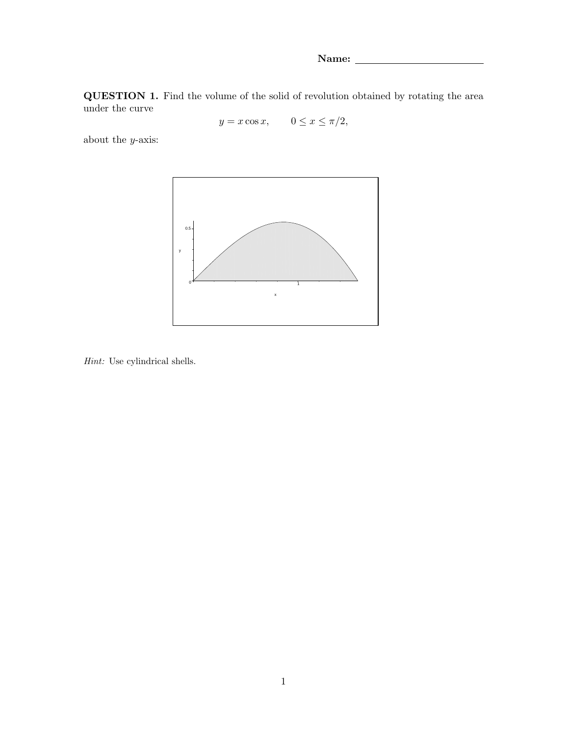Name: \_

QUESTION 1. Find the volume of the solid of revolution obtained by rotating the area under the curve

 $y = x \cos x$ ,  $0 \le x \le \pi/2$ ,

about the  $y\textrm{-axis:}$ 



Hint: Use cylindrical shells.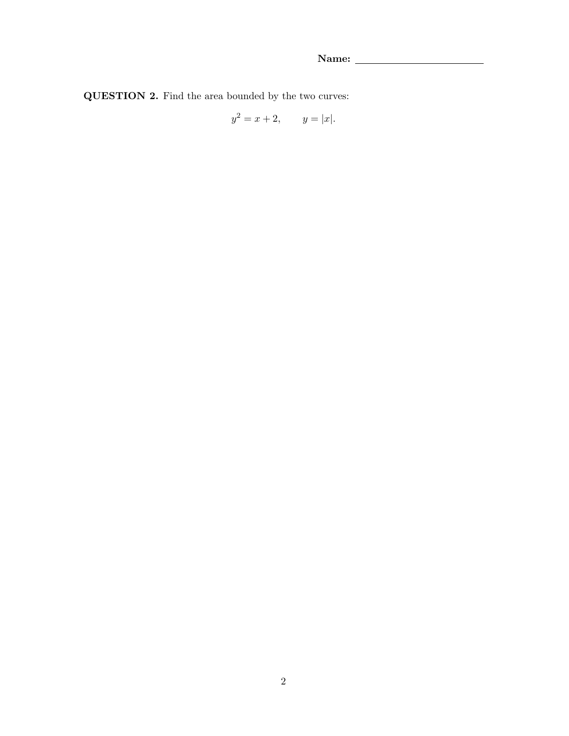QUESTION 2. Find the area bounded by the two curves:

$$
y^2 = x + 2, \qquad y = |x|.
$$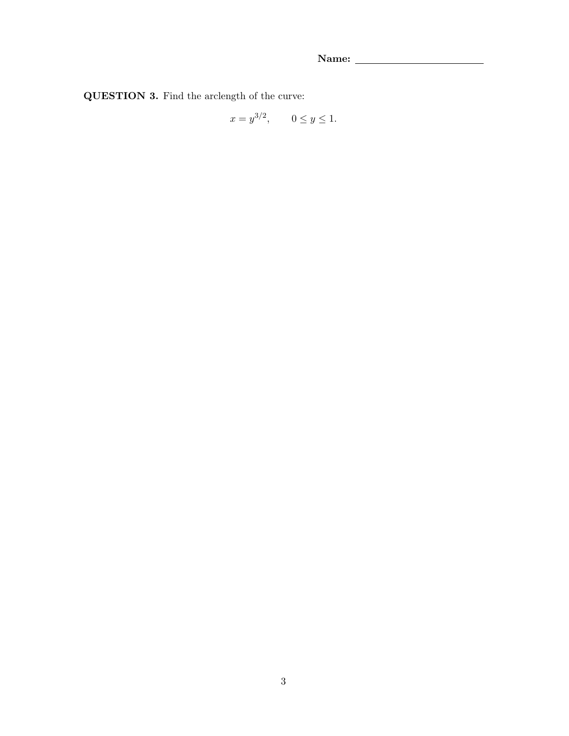QUESTION 3. Find the arclength of the curve:

$$
x = y^{3/2}, \quad 0 \le y \le 1.
$$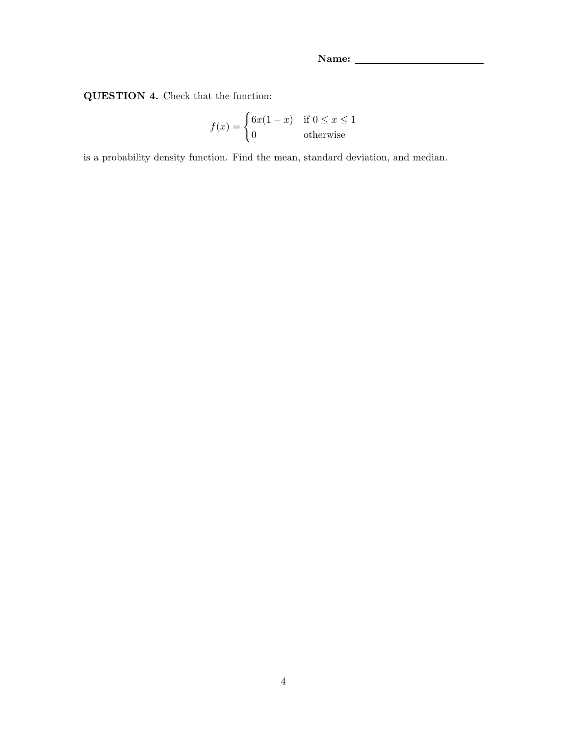QUESTION 4. Check that the function:

$$
f(x) = \begin{cases} 6x(1-x) & \text{if } 0 \le x \le 1\\ 0 & \text{otherwise} \end{cases}
$$

is a probability density function. Find the mean, standard deviation, and median.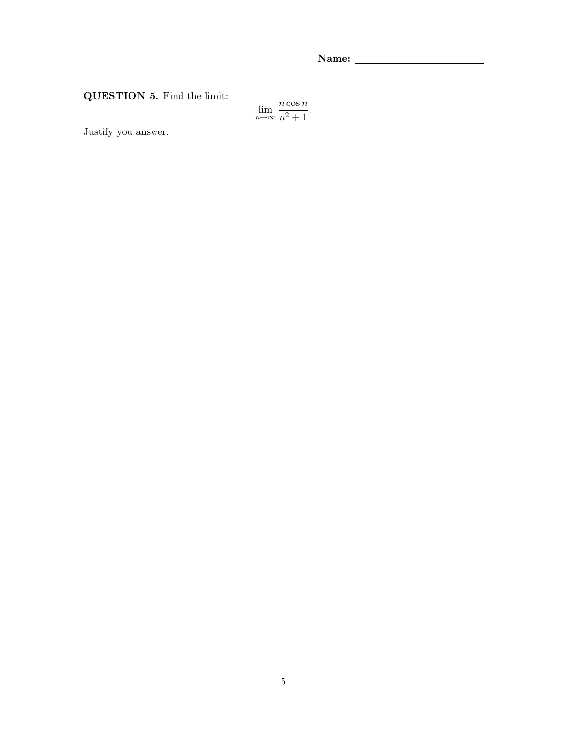QUESTION 5. Find the limit:

$$
\lim_{n \to \infty} \frac{n \cos n}{n^2 + 1}.
$$

Justify you answer.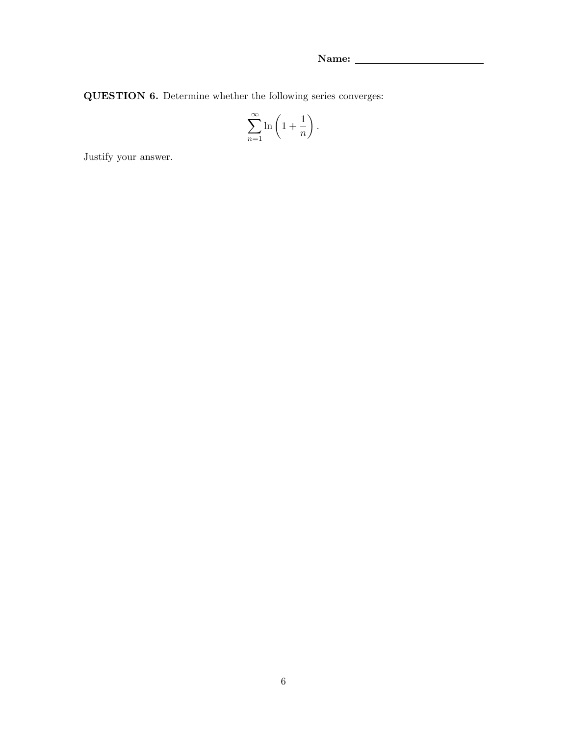QUESTION 6. Determine whether the following series converges:

$$
\sum_{n=1}^{\infty} \ln\left(1 + \frac{1}{n}\right).
$$

Justify your answer.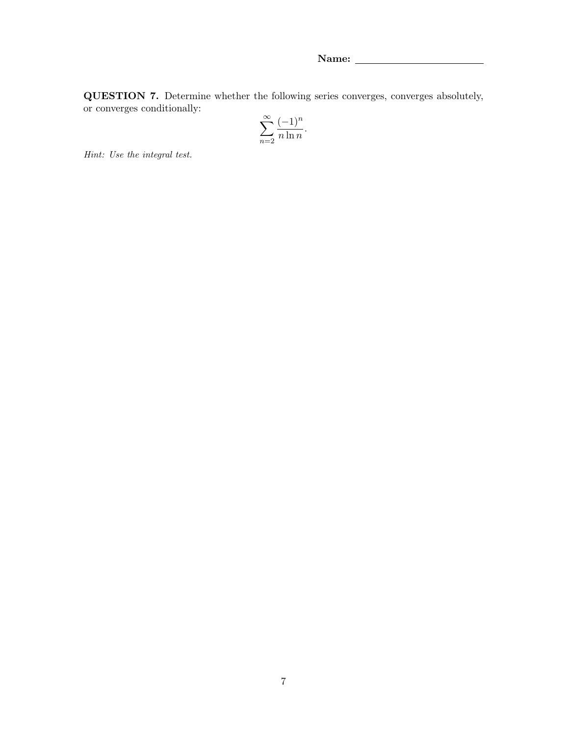QUESTION 7. Determine whether the following series converges, converges absolutely, or converges conditionally:

$$
\sum_{n=2}^{\infty} \frac{(-1)^n}{n \ln n}.
$$

Hint: Use the integral test.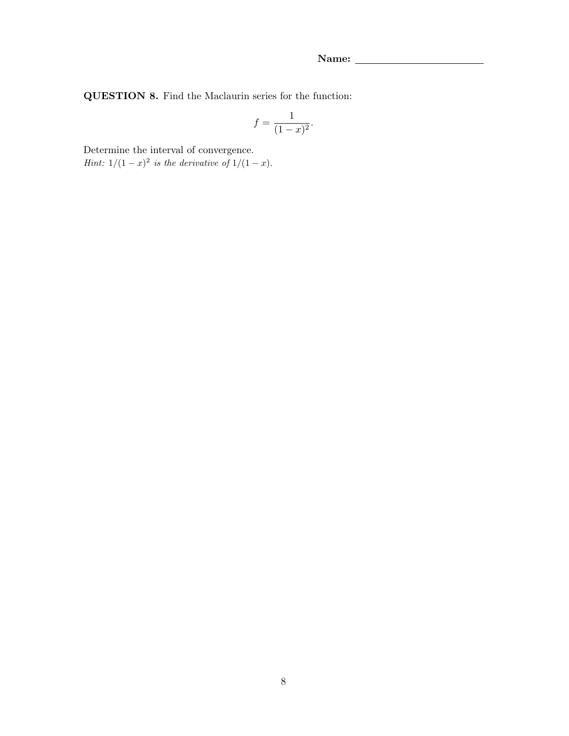QUESTION 8. Find the Maclaurin series for the function:

$$
f = \frac{1}{(1-x)^2}.
$$

Determine the interval of convergence.

*Hint*:  $1/(1-x)^2$  *is the derivative of*  $1/(1-x)$ *.*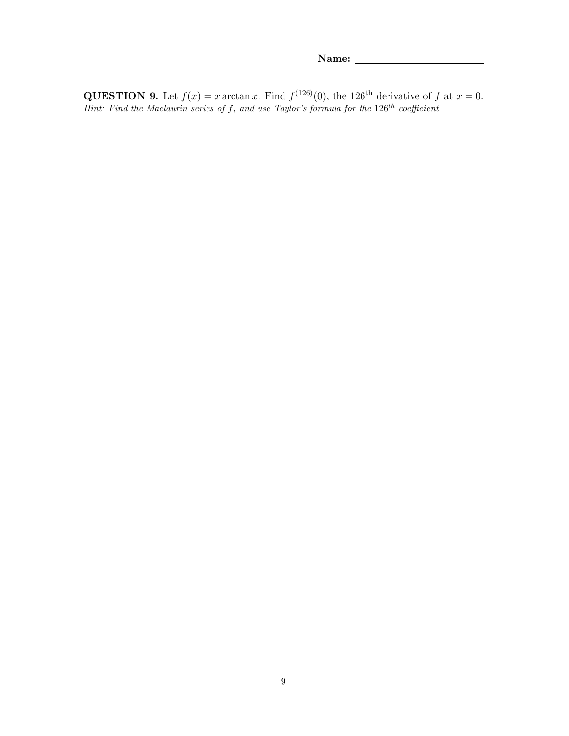**QUESTION 9.** Let  $f(x) = x \arctan x$ . Find  $f^{(126)}(0)$ , the 126<sup>th</sup> derivative of f at  $x = 0$ . Hint: Find the Maclaurin series of f, and use Taylor's formula for the  $126^{th}$  coefficient.